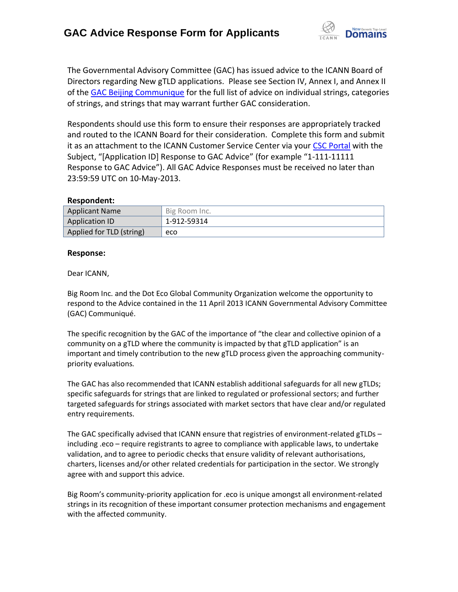

The Governmental Advisory Committee (GAC) has issued advice to the ICANN Board of Directors regarding New gTLD applications. Please see Section IV, Annex I, and Annex II of the [GAC Beijing Communique](http://www.icann.org/en/news/correspondence/gac-to-board-18apr13-en.pdf) for the full list of advice on individual strings, categories of strings, and strings that may warrant further GAC consideration.

Respondents should use this form to ensure their responses are appropriately tracked and routed to the ICANN Board for their consideration. Complete this form and submit it as an attachment to the ICANN Customer Service Center via your CSC [Portal](https://myicann.secure.force.com/) with the Subject, "[Application ID] Response to GAC Advice" (for example "1-111-11111 Response to GAC Advice"). All GAC Advice Responses must be received no later than 23:59:59 UTC on 10-May-2013.

### **Respondent:**

| <b>Applicant Name</b>    | Big Room Inc. |
|--------------------------|---------------|
| <b>Application ID</b>    | 1-912-59314   |
| Applied for TLD (string) | eco           |

#### **Response:**

#### Dear ICANN,

Big Room Inc. and the Dot Eco Global Community Organization welcome the opportunity to respond to the Advice contained in the 11 April 2013 ICANN Governmental Advisory Committee (GAC) Communiqué.

The specific recognition by the GAC of the importance of "the clear and collective opinion of a community on a gTLD where the community is impacted by that gTLD application" is an important and timely contribution to the new gTLD process given the approaching communitypriority evaluations.

The GAC has also recommended that ICANN establish additional safeguards for all new gTLDs; specific safeguards for strings that are linked to regulated or professional sectors; and further targeted safeguards for strings associated with market sectors that have clear and/or regulated entry requirements.

The GAC specifically advised that ICANN ensure that registries of environment-related gTLDs – including .eco – require registrants to agree to compliance with applicable laws, to undertake validation, and to agree to periodic checks that ensure validity of relevant authorisations, charters, licenses and/or other related credentials for participation in the sector. We strongly agree with and support this advice.

Big Room's community-priority application for .eco is unique amongst all environment-related strings in its recognition of these important consumer protection mechanisms and engagement with the affected community.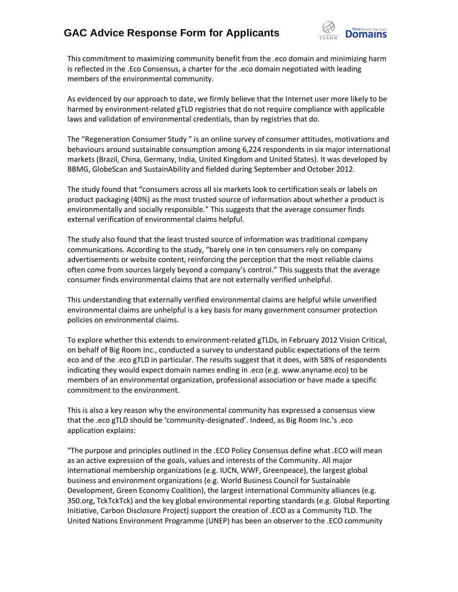## **GAC Advice Response Form for Applicants**



This commitment to maximizing community benefit from the .eco domain and minimizing harm is reflected in the .Eco Consensus, a charter for the .eco domain negotiated with leading members of the environmental community.

As evidenced by our approach to date, we firmly believe that the Internet user more likely to be harmed by environment-related gTLD registries that do not require compliance with applicable laws and validation of environmental credentials, than by registries that do.

The "Regeneration Consumer Study " is an online survey of consumer attitudes, motivations and behaviours around sustainable consumption among 6,224 respondents in six major international markets (Brazil, China, Germany, India, United Kingdom and United States). It was developed by BBMG, GlobeScan and SustainAbility and fielded during September and October 2012.

The study found that "consumers across all six markets look to certification seals or labels on product packaging (40%) as the most trusted source of information about whether a product is environmentally and socially responsible." This suggests that the average consumer finds external verification of environmental claims helpful.

The study also found that the least trusted source of information was traditional company communications. According to the study, "barely one in ten consumers rely on company advertisements or website content, reinforcing the perception that the most reliable claims often come from sources largely beyond a company's control." This suggests that the average consumer finds environmental claims that are not externally verified unhelpful.

This understanding that externally verified environmental claims are helpful while unverified environmental claims are unhelpful is a key basis for many government consumer protection policies on environmental claims.

To explore whether this extends to environment-related gTLDs, in February 2012 Vision Critical, on behalf of Big Room Inc., conducted a survey to understand public expectations of the term eco and of the .eco gTLD in particular. The results suggest that it does, with 58% of respondents indicating they would expect domain names ending in .eco (e.g. www.anyname.eco) to be members of an environmental organization, professional association or have made a specific commitment to the environment.

This is also a key reason why the environmental community has expressed a consensus view that the .eco gTLD should be 'community-designated'. Indeed, as Big Room Inc.'s .eco application explains:

"The purpose and principles outlined in the .ECO Policy Consensus define what .ECO will mean as an active expression of the goals, values and interests of the Community. All major international membership organizations (e.g. IUCN, WWF, Greenpeace), the largest global business and environment organizations (e.g. World Business Council for Sustainable Development, Green Economy Coalition), the largest international Community alliances (e.g. 350.org, TckTckTck) and the key global environmental reporting standards (e.g. Global Reporting Initiative, Carbon Disclosure Project) support the creation of .ECO as a Community TLD. The United Nations Environment Programme (UNEP) has been an observer to the .ECO community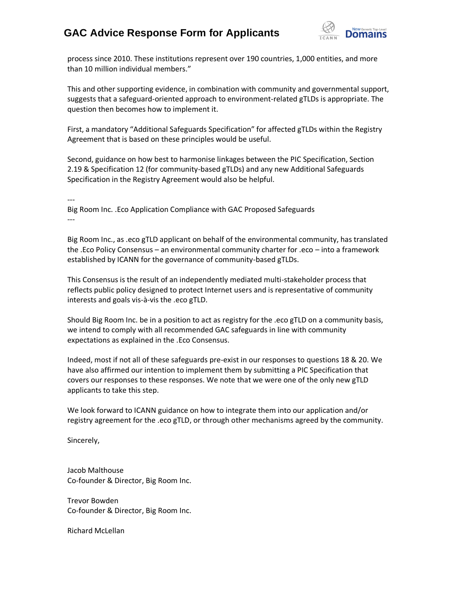## **GAC Advice Response Form for Applicants**



process since 2010. These institutions represent over 190 countries, 1,000 entities, and more than 10 million individual members."

This and other supporting evidence, in combination with community and governmental support, suggests that a safeguard-oriented approach to environment-related gTLDs is appropriate. The question then becomes how to implement it.

First, a mandatory "Additional Safeguards Specification" for affected gTLDs within the Registry Agreement that is based on these principles would be useful.

Second, guidance on how best to harmonise linkages between the PIC Specification, Section 2.19 & Specification 12 (for community-based gTLDs) and any new Additional Safeguards Specification in the Registry Agreement would also be helpful.

---

Big Room Inc. .Eco Application Compliance with GAC Proposed Safeguards ---

Big Room Inc., as .eco gTLD applicant on behalf of the environmental community, has translated the .Eco Policy Consensus – an environmental community charter for .eco – into a framework established by ICANN for the governance of community-based gTLDs.

This Consensus is the result of an independently mediated multi-stakeholder process that reflects public policy designed to protect Internet users and is representative of community interests and goals vis-à-vis the .eco gTLD.

Should Big Room Inc. be in a position to act as registry for the .eco gTLD on a community basis, we intend to comply with all recommended GAC safeguards in line with community expectations as explained in the .Eco Consensus.

Indeed, most if not all of these safeguards pre-exist in our responses to questions 18 & 20. We have also affirmed our intention to implement them by submitting a PIC Specification that covers our responses to these responses. We note that we were one of the only new gTLD applicants to take this step.

We look forward to ICANN guidance on how to integrate them into our application and/or registry agreement for the .eco gTLD, or through other mechanisms agreed by the community.

Sincerely,

Jacob Malthouse Co-founder & Director, Big Room Inc.

Trevor Bowden Co-founder & Director, Big Room Inc.

Richard McLellan